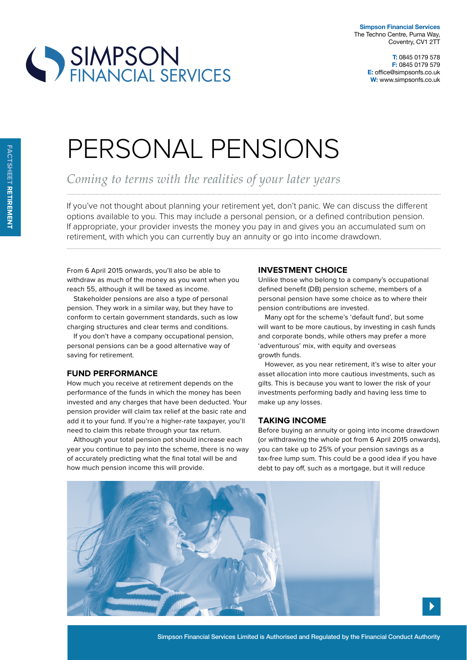

**T:** 0845 0179 578 **F:** 0845 0179 579 **E:** office@simpsonfs.co.uk **W:** www.simpsonfs.co.uk

# PERSONAL PENSIONS

*Coming to terms with the realities of your later years* 

If you've not thought about planning your retirement yet, don't panic. We can discuss the diferent options available to you. This may include a personal pension, or a defined contribution pension. If appropriate, your provider invests the money you pay in and gives you an accumulated sum on retirement, with which you can currently buy an annuity or go into income drawdown.

From 6 April 2015 onwards, you'll also be able to withdraw as much of the money as you want when you reach 55, although it will be taxed as income.

SIMPSON<br>FINANCIAL SERVICES

Stakeholder pensions are also a type of personal pension. They work in a similar way, but they have to conform to certain government standards, such as low charging structures and clear terms and conditions.

If you don't have a company occupational pension, personal pensions can be a good alternative way of saving for retirement.

### **Fund perFormance**

How much you receive at retirement depends on the performance of the funds in which the money has been invested and any charges that have been deducted. Your pension provider will claim tax relief at the basic rate and add it to your fund. If you're a higher-rate taxpayer, you'll need to claim this rebate through your tax return.

Although your total pension pot should increase each year you continue to pay into the scheme, there is no way of accurately predicting what the final total will be and how much pension income this will provide.

# **investment cHoice**

Unlike those who belong to a company's occupational defined benefit (DB) pension scheme, members of a personal pension have some choice as to where their pension contributions are invested.

Many opt for the scheme's 'default fund', but some will want to be more cautious, by investing in cash funds and corporate bonds, while others may prefer a more 'adventurous' mix, with equity and overseas growth funds.

However, as you near retirement, it's wise to alter your asset allocation into more cautious investments, such as gilts. This is because you want to lower the risk of your investments performing badly and having less time to make up any losses.

### **taking income**

Before buying an annuity or going into income drawdown (or withdrawing the whole pot from 6 April 2015 onwards), you can take up to 25% of your pension savings as a tax-free lump sum. This could be a good idea if you have debt to pay off, such as a mortgage, but it will reduce